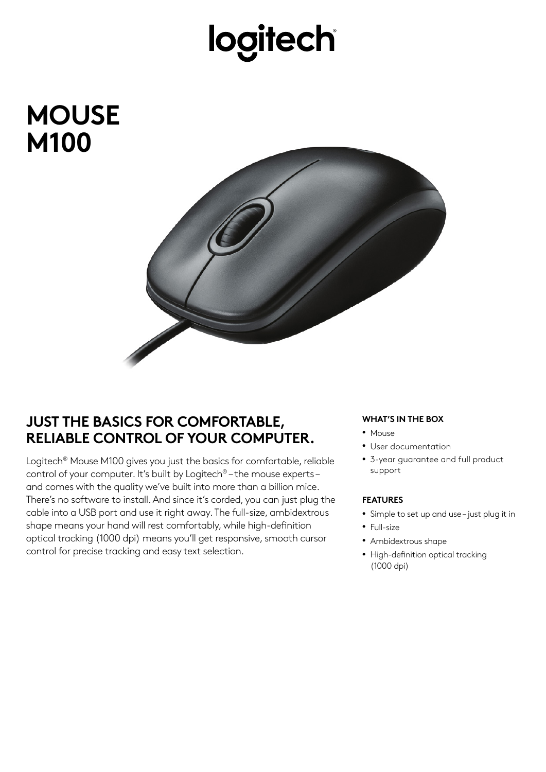## logitech

### **MOUSE M100**



### **JUST THE BASICS FOR COMFORTABLE, RELIABLE CONTROL OF YOUR COMPUTER.**

Logitech® Mouse M100 gives you just the basics for comfortable, reliable control of your computer. It's built by Logitech® – the mouse experts – and comes with the quality we've built into more than a billion mice. There's no software to install. And since it's corded, you can just plug the cable into a USB port and use it right away. The full-size, ambidextrous shape means your hand will rest comfortably, while high-definition optical tracking (1000 dpi) means you'll get responsive, smooth cursor control for precise tracking and easy text selection.

#### **WHAT'S IN THE BOX**

- Mouse
- User documentation
- 3-year guarantee and full product support

#### **FEATURES**

- Simple to set up and use just plug it in
- Full-size
- Ambidextrous shape
- High-definition optical tracking (1000 dpi)